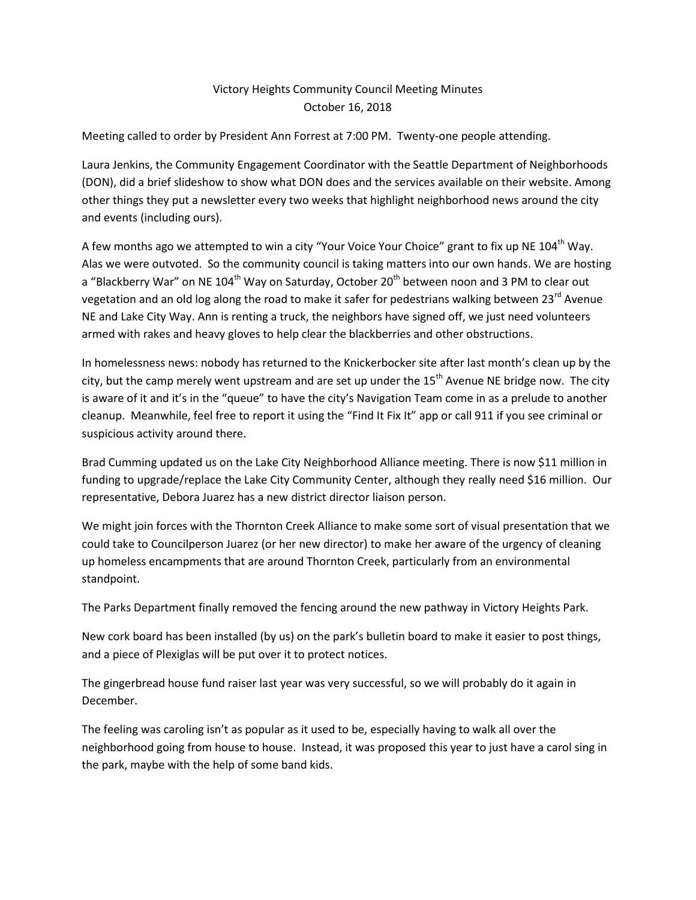## Victory Heights Community Council Meeting Minutes October 16, 2018

Meeting called to order by President Ann Forrest at 7:00 PM. Twenty-one people attending.

Laura Jenkins, the Community Engagement Coordinator with the Seattle Department of Neighborhoods (DON), did a brief slideshow to show what DON does and the services available on their website. Among other things they put a newsletter every two weeks that highlight neighborhood news around the city and events (including ours).

A few months ago we attempted to win a city "Your Voice Your Choice" grant to fix up NE  $104<sup>th</sup>$  Way. Alas we were outvoted. So the community council is taking matters into our own hands. We are hosting a "Blackberry War" on NE 104<sup>th</sup> Way on Saturday, October 20<sup>th</sup> between noon and 3 PM to clear out vegetation and an old log along the road to make it safer for pedestrians walking between  $23^{\text{rd}}$  Avenue NE and Lake City Way. Ann is renting a truck, the neighbors have signed off, we just need volunteers armed with rakes and heavy gloves to help clear the blackberries and other obstructions.

In homelessness news: nobody has returned to the Knickerbocker site after last month's clean up by the city, but the camp merely went upstream and are set up under the  $15<sup>th</sup>$  Avenue NE bridge now. The city is aware of it and it's in the "queue" to have the city's Navigation Team come in as a prelude to another cleanup. Meanwhile, feel free to report it using the "Find It Fix It" app or call 911 if you see criminal or suspicious activity around there.

Brad Cumming updated us on the Lake City Neighborhood Alliance meeting. There is now \$11 million in funding to upgrade/replace the Lake City Community Center, although they really need \$16 million. Our representative, Debora Juarez has a new district director liaison person.

We might join forces with the Thornton Creek Alliance to make some sort of visual presentation that we could take to Councilperson Juarez (or her new director) to make her aware of the urgency of cleaning up homeless encampments that are around Thornton Creek, particularly from an environmental standpoint.

The Parks Department finally removed the fencing around the new pathway in Victory Heights Park.

New cork board has been installed (by us) on the park's bulletin board to make it easier to post things, and a piece of Plexiglas will be put over it to protect notices.

The gingerbread house fund raiser last year was very successful, so we will probably do it again in December.

The feeling was caroling isn't as popular as it used to be, especially having to walk all over the neighborhood going from house to house. Instead, it was proposed this year to just have a carol sing in the park, maybe with the help of some band kids.